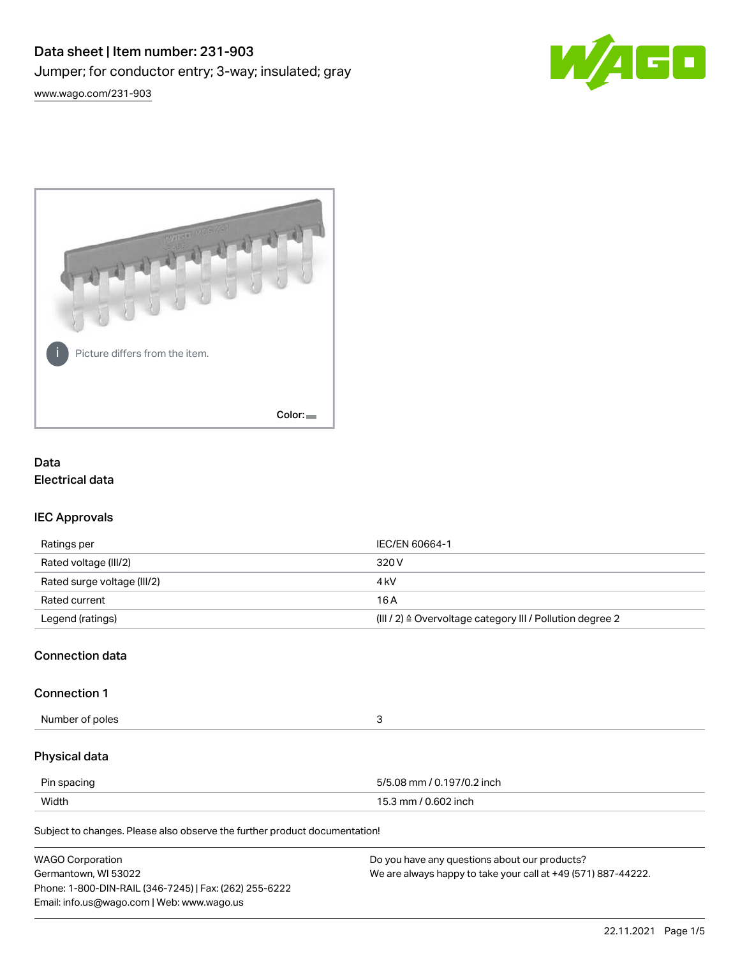



# Data Electrical data

# IEC Approvals

| Ratings per                 | IEC/EN 60664-1                                                        |
|-----------------------------|-----------------------------------------------------------------------|
| Rated voltage (III/2)       | 320 V                                                                 |
| Rated surge voltage (III/2) | 4 kV                                                                  |
| Rated current               | 16 A                                                                  |
| Legend (ratings)            | $(III / 2)$ $\triangle$ Overvoltage category III / Pollution degree 2 |

# Connection data

### Connection 1

Number of poles 3

# Physical data

| Pin spacing | 5/5.08 mm / 0.197/0.2 inch |
|-------------|----------------------------|
| Width       | 15.3 mm / 0.602 inch       |

Subject to changes. Please also observe the further product documentation!

| <b>WAGO Corporation</b>                                | Do you have any questions about our products?                 |
|--------------------------------------------------------|---------------------------------------------------------------|
| Germantown, WI 53022                                   | We are always happy to take your call at +49 (571) 887-44222. |
| Phone: 1-800-DIN-RAIL (346-7245)   Fax: (262) 255-6222 |                                                               |
| Email: info.us@wago.com   Web: www.wago.us             |                                                               |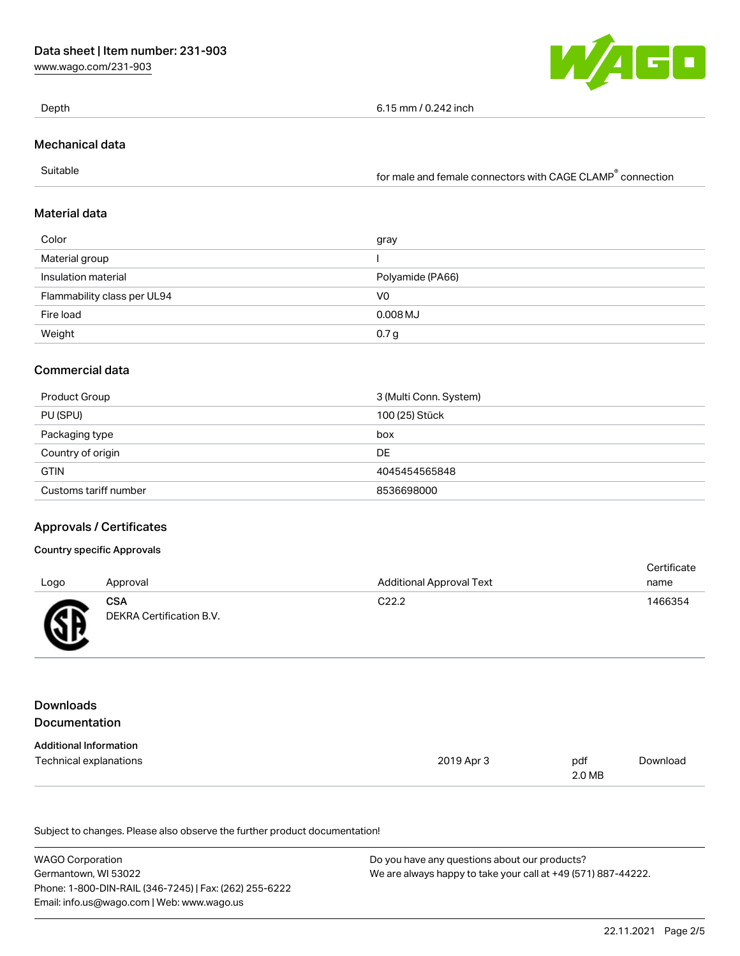[www.wago.com/231-903](http://www.wago.com/231-903)



Depth 6.15 mm / 0.242 inch

Mechanical data

Suitable for male and female connectors with CAGE CLAMP<sup>®</sup> connection

# Material data

| Color                       | gray             |
|-----------------------------|------------------|
| Material group              |                  |
| Insulation material         | Polyamide (PA66) |
| Flammability class per UL94 | V0               |
| Fire load                   | $0.008$ MJ       |
| Weight                      | 0.7 <sub>g</sub> |

# Commercial data

| Product Group         | 3 (Multi Conn. System) |
|-----------------------|------------------------|
| PU (SPU)              | 100 (25) Stück         |
| Packaging type        | box                    |
| Country of origin     | DE                     |
| <b>GTIN</b>           | 4045454565848          |
| Customs tariff number | 8536698000             |

### Approvals / Certificates

#### Country specific Approvals

|      |                                 |                                 | Certificate |
|------|---------------------------------|---------------------------------|-------------|
| Logo | Approval                        | <b>Additional Approval Text</b> | name        |
| Æ    | CSA<br>DEKRA Certification B.V. | C <sub>22.2</sub>               | 1466354     |

# Downloads Documentation

| <b>Additional Information</b> |            |        |          |
|-------------------------------|------------|--------|----------|
| Technical explanations        | 2019 Apr 3 | pdf    | Download |
|                               |            | 2.0 MB |          |

Subject to changes. Please also observe the further product documentation!

| <b>WAGO Corporation</b>                                | Do you have any questions about our products?                 |
|--------------------------------------------------------|---------------------------------------------------------------|
| Germantown, WI 53022                                   | We are always happy to take your call at +49 (571) 887-44222. |
| Phone: 1-800-DIN-RAIL (346-7245)   Fax: (262) 255-6222 |                                                               |
| Email: info.us@wago.com   Web: www.wago.us             |                                                               |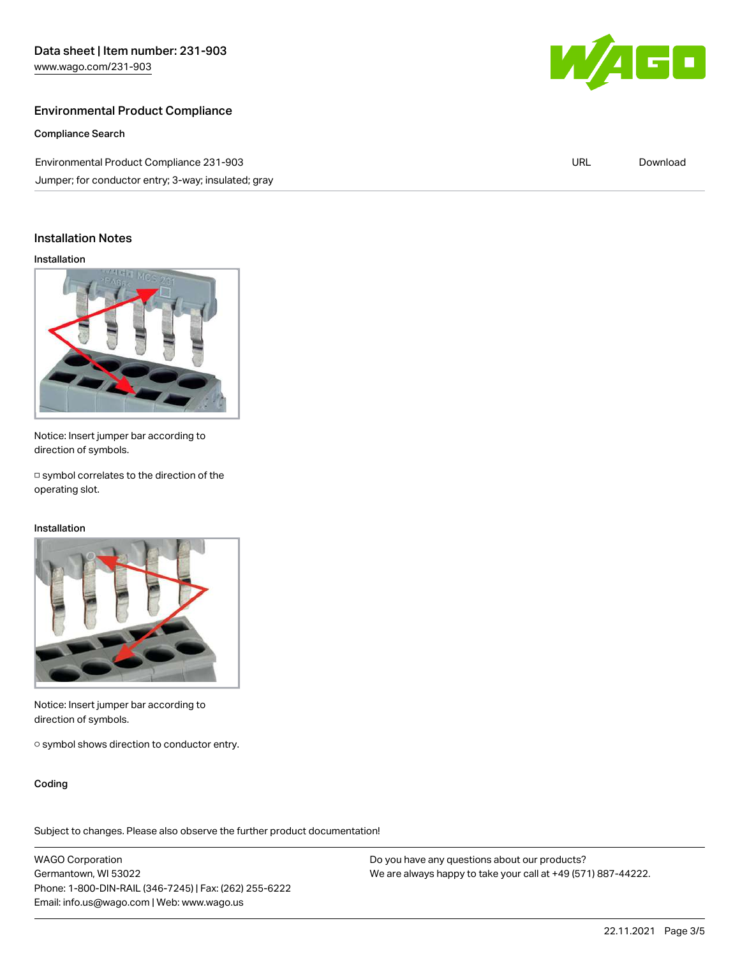# Environmental Product Compliance

Compliance Search

Environmental Product Compliance 231-903 Jumper; for conductor entry; 3-way; insulated; gray



URL [Download](https://www.wago.com/global/d/ComplianceLinkMediaContainer_231-903)

## Installation Notes

Installation



Notice: Insert jumper bar according to direction of symbols.

□ symbol correlates to the direction of the operating slot.

#### Installation



Notice: Insert jumper bar according to direction of symbols.

○ symbol shows direction to conductor entry.

Coding

Subject to changes. Please also observe the further product documentation!

WAGO Corporation Germantown, WI 53022 Phone: 1-800-DIN-RAIL (346-7245) | Fax: (262) 255-6222 Email: info.us@wago.com | Web: www.wago.us

Do you have any questions about our products? We are always happy to take your call at +49 (571) 887-44222.

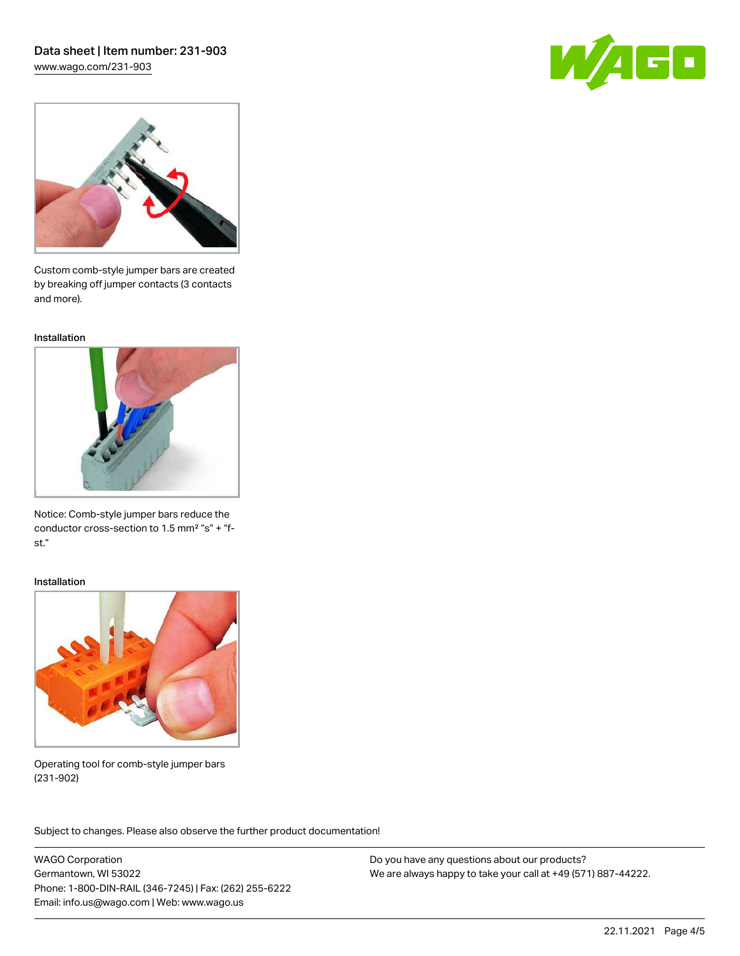# Data sheet | Item number: 231-903

[www.wago.com/231-903](http://www.wago.com/231-903)





Custom comb-style jumper bars are created by breaking off jumper contacts (3 contacts and more).

Installation



Notice: Comb-style jumper bars reduce the conductor cross-section to 1.5 mm² "s" + "fst."

#### Installation



Operating tool for comb-style jumper bars (231-902)

Subject to changes. Please also observe the further product documentation! Application

WAGO Corporation Germantown, WI 53022 Phone: 1-800-DIN-RAIL (346-7245) | Fax: (262) 255-6222 Email: info.us@wago.com | Web: www.wago.us

Do you have any questions about our products? We are always happy to take your call at +49 (571) 887-44222.